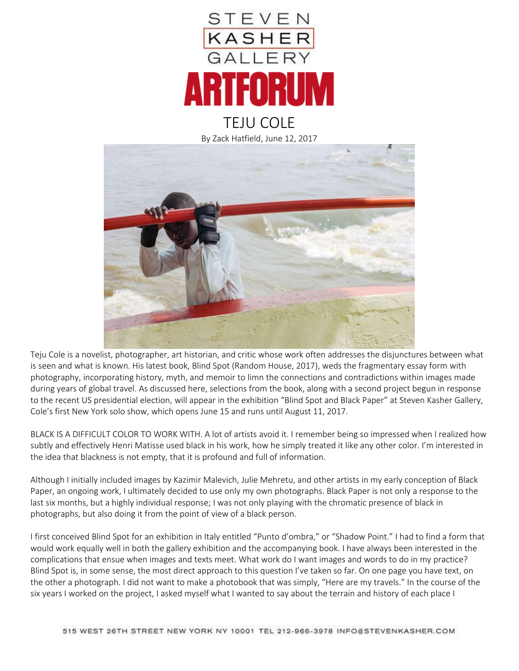

## By Zack Hatfield, June 12, 2017



Teju Cole is a novelist, photographer, art historian, and critic whose work often addresses the disjunctures between what is seen and what is known. His latest book, Blind Spot (Random House, 2017), weds the fragmentary essay form with photography, incorporating history, myth, and memoir to limn the connections and contradictions within images made during years of global travel. As discussed here, selections from the book, along with a second project begun in response to the recent US presidential election, will appear in the exhibition "Blind Spot and Black Paper" at Steven Kasher Gallery, Cole's first New York solo show, which opens June 15 and runs until August 11, 2017.

BLACK IS A DIFFICULT COLOR TO WORK WITH. A lot of artists avoid it. I remember being so impressed when I realized how subtly and effectively Henri Matisse used black in his work, how he simply treated it like any other color. I'm interested in the idea that blackness is not empty, that it is profound and full of information.

Although I initially included images by Kazimir Malevich, Julie Mehretu, and other artists in my early conception of Black Paper, an ongoing work, I ultimately decided to use only my own photographs. Black Paper is not only a response to the last six months, but a highly individual response; I was not only playing with the chromatic presence of black in photographs, but also doing it from the point of view of a black person.

I first conceived Blind Spot for an exhibition in Italy entitled "Punto d'ombra," or "Shadow Point." I had to find a form that would work equally well in both the gallery exhibition and the accompanying book. I have always been interested in the complications that ensue when images and texts meet. What work do I want images and words to do in my practice? Blind Spot is, in some sense, the most direct approach to this question I've taken so far. On one page you have text, on the other a photograph. I did not want to make a photobook that was simply, "Here are my travels." In the course of the six years I worked on the project, I asked myself what I wanted to say about the terrain and history of each place I